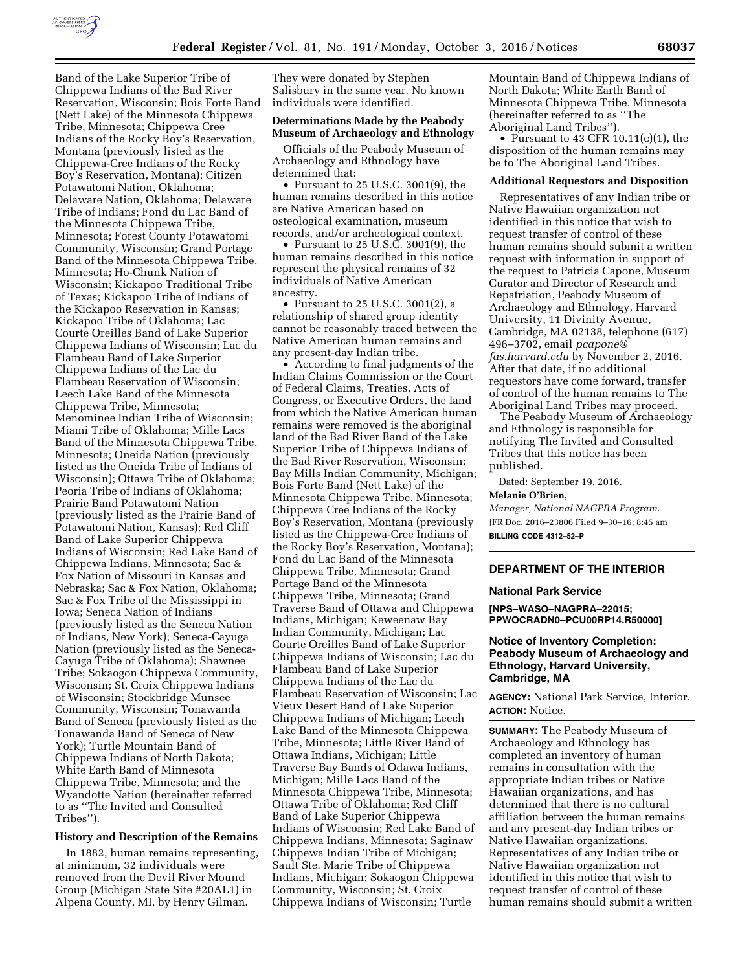

Band of the Lake Superior Tribe of Chippewa Indians of the Bad River Reservation, Wisconsin; Bois Forte Band (Nett Lake) of the Minnesota Chippewa Tribe, Minnesota; Chippewa Cree Indians of the Rocky Boy's Reservation, Montana (previously listed as the Chippewa-Cree Indians of the Rocky Boy's Reservation, Montana); Citizen Potawatomi Nation, Oklahoma; Delaware Nation, Oklahoma; Delaware Tribe of Indians; Fond du Lac Band of the Minnesota Chippewa Tribe, Minnesota; Forest County Potawatomi Community, Wisconsin; Grand Portage Band of the Minnesota Chippewa Tribe, Minnesota; Ho-Chunk Nation of Wisconsin; Kickapoo Traditional Tribe of Texas; Kickapoo Tribe of Indians of the Kickapoo Reservation in Kansas; Kickapoo Tribe of Oklahoma; Lac Courte Oreilles Band of Lake Superior Chippewa Indians of Wisconsin; Lac du Flambeau Band of Lake Superior Chippewa Indians of the Lac du Flambeau Reservation of Wisconsin; Leech Lake Band of the Minnesota Chippewa Tribe, Minnesota; Menominee Indian Tribe of Wisconsin; Miami Tribe of Oklahoma; Mille Lacs Band of the Minnesota Chippewa Tribe, Minnesota; Oneida Nation (previously listed as the Oneida Tribe of Indians of Wisconsin); Ottawa Tribe of Oklahoma; Peoria Tribe of Indians of Oklahoma; Prairie Band Potawatomi Nation (previously listed as the Prairie Band of Potawatomi Nation, Kansas); Red Cliff Band of Lake Superior Chippewa Indians of Wisconsin; Red Lake Band of Chippewa Indians, Minnesota; Sac & Fox Nation of Missouri in Kansas and Nebraska; Sac & Fox Nation, Oklahoma; Sac & Fox Tribe of the Mississippi in Iowa; Seneca Nation of Indians (previously listed as the Seneca Nation of Indians, New York); Seneca-Cayuga Nation (previously listed as the Seneca-Cayuga Tribe of Oklahoma); Shawnee Tribe; Sokaogon Chippewa Community, Wisconsin; St. Croix Chippewa Indians of Wisconsin; Stockbridge Munsee Community, Wisconsin; Tonawanda Band of Seneca (previously listed as the Tonawanda Band of Seneca of New York); Turtle Mountain Band of Chippewa Indians of North Dakota; White Earth Band of Minnesota Chippewa Tribe, Minnesota; and the Wyandotte Nation (hereinafter referred to as ''The Invited and Consulted Tribes'').

#### **History and Description of the Remains**

In 1882, human remains representing, at minimum, 32 individuals were removed from the Devil River Mound Group (Michigan State Site #20AL1) in Alpena County, MI, by Henry Gilman.

They were donated by Stephen Salisbury in the same year. No known individuals were identified.

# **Determinations Made by the Peabody Museum of Archaeology and Ethnology**

Officials of the Peabody Museum of Archaeology and Ethnology have determined that:

• Pursuant to 25 U.S.C. 3001(9), the human remains described in this notice are Native American based on osteological examination, museum records, and/or archeological context.

• Pursuant to 25 U.S.C. 3001(9), the human remains described in this notice represent the physical remains of 32 individuals of Native American ancestry.

• Pursuant to 25 U.S.C. 3001(2), a relationship of shared group identity cannot be reasonably traced between the Native American human remains and any present-day Indian tribe.

• According to final judgments of the Indian Claims Commission or the Court of Federal Claims, Treaties, Acts of Congress, or Executive Orders, the land from which the Native American human remains were removed is the aboriginal land of the Bad River Band of the Lake Superior Tribe of Chippewa Indians of the Bad River Reservation, Wisconsin; Bay Mills Indian Community, Michigan; Bois Forte Band (Nett Lake) of the Minnesota Chippewa Tribe, Minnesota; Chippewa Cree Indians of the Rocky Boy's Reservation, Montana (previously listed as the Chippewa-Cree Indians of the Rocky Boy's Reservation, Montana); Fond du Lac Band of the Minnesota Chippewa Tribe, Minnesota; Grand Portage Band of the Minnesota Chippewa Tribe, Minnesota; Grand Traverse Band of Ottawa and Chippewa Indians, Michigan; Keweenaw Bay Indian Community, Michigan; Lac Courte Oreilles Band of Lake Superior Chippewa Indians of Wisconsin; Lac du Flambeau Band of Lake Superior Chippewa Indians of the Lac du Flambeau Reservation of Wisconsin; Lac Vieux Desert Band of Lake Superior Chippewa Indians of Michigan; Leech Lake Band of the Minnesota Chippewa Tribe, Minnesota; Little River Band of Ottawa Indians, Michigan; Little Traverse Bay Bands of Odawa Indians, Michigan; Mille Lacs Band of the Minnesota Chippewa Tribe, Minnesota; Ottawa Tribe of Oklahoma; Red Cliff Band of Lake Superior Chippewa Indians of Wisconsin; Red Lake Band of Chippewa Indians, Minnesota; Saginaw Chippewa Indian Tribe of Michigan; Sault Ste. Marie Tribe of Chippewa Indians, Michigan; Sokaogon Chippewa Community, Wisconsin; St. Croix Chippewa Indians of Wisconsin; Turtle

Mountain Band of Chippewa Indians of North Dakota; White Earth Band of Minnesota Chippewa Tribe, Minnesota (hereinafter referred to as ''The Aboriginal Land Tribes'').

• Pursuant to 43 CFR 10.11(c)(1), the disposition of the human remains may be to The Aboriginal Land Tribes.

### **Additional Requestors and Disposition**

Representatives of any Indian tribe or Native Hawaiian organization not identified in this notice that wish to request transfer of control of these human remains should submit a written request with information in support of the request to Patricia Capone, Museum Curator and Director of Research and Repatriation, Peabody Museum of Archaeology and Ethnology, Harvard University, 11 Divinity Avenue, Cambridge, MA 02138, telephone (617) 496–3702, email *[pcapone@](mailto:pcapone@fas.harvard.edu) [fas.harvard.edu](mailto:pcapone@fas.harvard.edu)* by November 2, 2016. After that date, if no additional requestors have come forward, transfer of control of the human remains to The Aboriginal Land Tribes may proceed.

The Peabody Museum of Archaeology and Ethnology is responsible for notifying The Invited and Consulted Tribes that this notice has been published.

Dated: September 19, 2016.

## **Melanie O'Brien,**

*Manager, National NAGPRA Program.*  [FR Doc. 2016–23806 Filed 9–30–16; 8:45 am] **BILLING CODE 4312–52–P** 

### **DEPARTMENT OF THE INTERIOR**

### **National Park Service**

**[NPS–WASO–NAGPRA–22015; PPWOCRADN0–PCU00RP14.R50000]** 

## **Notice of Inventory Completion: Peabody Museum of Archaeology and Ethnology, Harvard University, Cambridge, MA**

**AGENCY:** National Park Service, Interior. **ACTION:** Notice.

**SUMMARY:** The Peabody Museum of Archaeology and Ethnology has completed an inventory of human remains in consultation with the appropriate Indian tribes or Native Hawaiian organizations, and has determined that there is no cultural affiliation between the human remains and any present-day Indian tribes or Native Hawaiian organizations. Representatives of any Indian tribe or Native Hawaiian organization not identified in this notice that wish to request transfer of control of these human remains should submit a written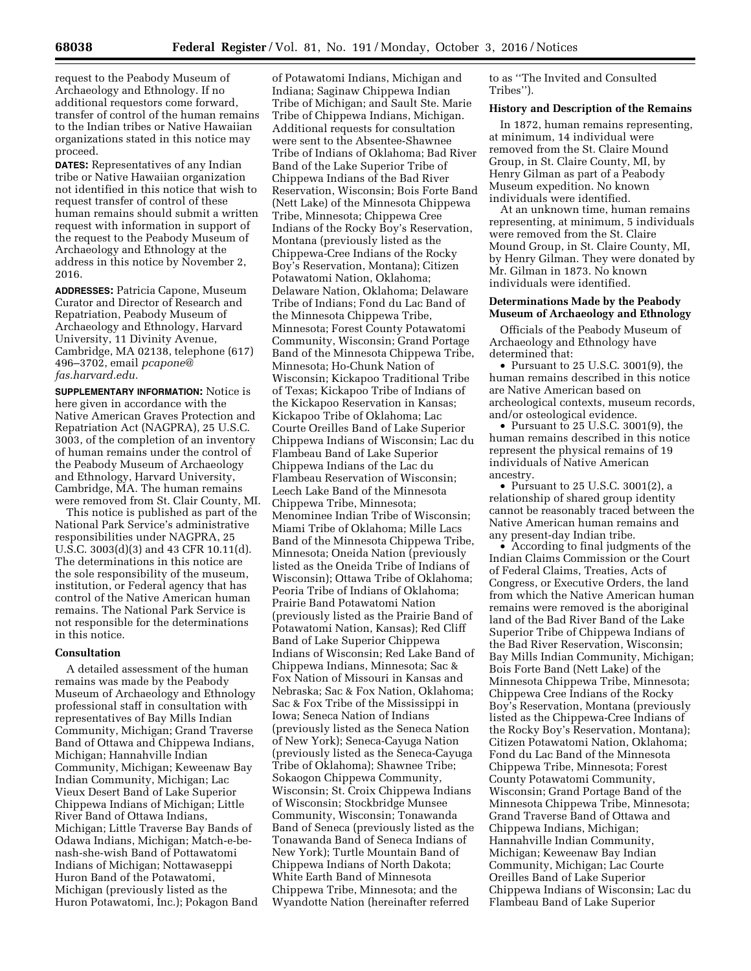request to the Peabody Museum of Archaeology and Ethnology. If no additional requestors come forward, transfer of control of the human remains to the Indian tribes or Native Hawaiian organizations stated in this notice may proceed.

**DATES:** Representatives of any Indian tribe or Native Hawaiian organization not identified in this notice that wish to request transfer of control of these human remains should submit a written request with information in support of the request to the Peabody Museum of Archaeology and Ethnology at the address in this notice by November 2, 2016.

**ADDRESSES:** Patricia Capone, Museum Curator and Director of Research and Repatriation, Peabody Museum of Archaeology and Ethnology, Harvard University, 11 Divinity Avenue, Cambridge, MA 02138, telephone (617) 496–3702, email *[pcapone@](mailto:pcapone@fas.harvard.edu) [fas.harvard.edu.](mailto:pcapone@fas.harvard.edu)* 

**SUPPLEMENTARY INFORMATION:** Notice is here given in accordance with the Native American Graves Protection and Repatriation Act (NAGPRA), 25 U.S.C. 3003, of the completion of an inventory of human remains under the control of the Peabody Museum of Archaeology and Ethnology, Harvard University, Cambridge, MA. The human remains were removed from St. Clair County, MI.

This notice is published as part of the National Park Service's administrative responsibilities under NAGPRA, 25 U.S.C. 3003(d)(3) and 43 CFR 10.11(d). The determinations in this notice are the sole responsibility of the museum, institution, or Federal agency that has control of the Native American human remains. The National Park Service is not responsible for the determinations in this notice.

### **Consultation**

A detailed assessment of the human remains was made by the Peabody Museum of Archaeology and Ethnology professional staff in consultation with representatives of Bay Mills Indian Community, Michigan; Grand Traverse Band of Ottawa and Chippewa Indians, Michigan; Hannahville Indian Community, Michigan; Keweenaw Bay Indian Community, Michigan; Lac Vieux Desert Band of Lake Superior Chippewa Indians of Michigan; Little River Band of Ottawa Indians, Michigan; Little Traverse Bay Bands of Odawa Indians, Michigan; Match-e-benash-she-wish Band of Pottawatomi Indians of Michigan; Nottawaseppi Huron Band of the Potawatomi, Michigan (previously listed as the Huron Potawatomi, Inc.); Pokagon Band

of Potawatomi Indians, Michigan and Indiana; Saginaw Chippewa Indian Tribe of Michigan; and Sault Ste. Marie Tribe of Chippewa Indians, Michigan. Additional requests for consultation were sent to the Absentee-Shawnee Tribe of Indians of Oklahoma; Bad River Band of the Lake Superior Tribe of Chippewa Indians of the Bad River Reservation, Wisconsin; Bois Forte Band (Nett Lake) of the Minnesota Chippewa Tribe, Minnesota; Chippewa Cree Indians of the Rocky Boy's Reservation, Montana (previously listed as the Chippewa-Cree Indians of the Rocky Boy's Reservation, Montana); Citizen Potawatomi Nation, Oklahoma; Delaware Nation, Oklahoma; Delaware Tribe of Indians; Fond du Lac Band of the Minnesota Chippewa Tribe, Minnesota; Forest County Potawatomi Community, Wisconsin; Grand Portage Band of the Minnesota Chippewa Tribe, Minnesota; Ho-Chunk Nation of Wisconsin; Kickapoo Traditional Tribe of Texas; Kickapoo Tribe of Indians of the Kickapoo Reservation in Kansas; Kickapoo Tribe of Oklahoma; Lac Courte Oreilles Band of Lake Superior Chippewa Indians of Wisconsin; Lac du Flambeau Band of Lake Superior Chippewa Indians of the Lac du Flambeau Reservation of Wisconsin; Leech Lake Band of the Minnesota Chippewa Tribe, Minnesota; Menominee Indian Tribe of Wisconsin; Miami Tribe of Oklahoma; Mille Lacs Band of the Minnesota Chippewa Tribe, Minnesota; Oneida Nation (previously listed as the Oneida Tribe of Indians of Wisconsin); Ottawa Tribe of Oklahoma; Peoria Tribe of Indians of Oklahoma; Prairie Band Potawatomi Nation (previously listed as the Prairie Band of Potawatomi Nation, Kansas); Red Cliff Band of Lake Superior Chippewa Indians of Wisconsin; Red Lake Band of Chippewa Indians, Minnesota; Sac & Fox Nation of Missouri in Kansas and Nebraska; Sac & Fox Nation, Oklahoma; Sac & Fox Tribe of the Mississippi in Iowa; Seneca Nation of Indians (previously listed as the Seneca Nation of New York); Seneca-Cayuga Nation (previously listed as the Seneca-Cayuga Tribe of Oklahoma); Shawnee Tribe; Sokaogon Chippewa Community, Wisconsin; St. Croix Chippewa Indians of Wisconsin; Stockbridge Munsee Community, Wisconsin; Tonawanda Band of Seneca (previously listed as the Tonawanda Band of Seneca Indians of New York); Turtle Mountain Band of Chippewa Indians of North Dakota; White Earth Band of Minnesota Chippewa Tribe, Minnesota; and the Wyandotte Nation (hereinafter referred

to as ''The Invited and Consulted Tribes'').

## **History and Description of the Remains**

In 1872, human remains representing, at minimum, 14 individual were removed from the St. Claire Mound Group, in St. Claire County, MI, by Henry Gilman as part of a Peabody Museum expedition. No known individuals were identified.

At an unknown time, human remains representing, at minimum, 5 individuals were removed from the St. Claire Mound Group, in St. Claire County, MI, by Henry Gilman. They were donated by Mr. Gilman in 1873. No known individuals were identified.

## **Determinations Made by the Peabody Museum of Archaeology and Ethnology**

Officials of the Peabody Museum of Archaeology and Ethnology have determined that:

• Pursuant to 25 U.S.C. 3001(9), the human remains described in this notice are Native American based on archeological contexts, museum records, and/or osteological evidence.

• Pursuant to 25 U.S.C. 3001(9), the human remains described in this notice represent the physical remains of 19 individuals of Native American ancestry.

• Pursuant to 25 U.S.C. 3001(2), a relationship of shared group identity cannot be reasonably traced between the Native American human remains and any present-day Indian tribe.

• According to final judgments of the Indian Claims Commission or the Court of Federal Claims, Treaties, Acts of Congress, or Executive Orders, the land from which the Native American human remains were removed is the aboriginal land of the Bad River Band of the Lake Superior Tribe of Chippewa Indians of the Bad River Reservation, Wisconsin; Bay Mills Indian Community, Michigan; Bois Forte Band (Nett Lake) of the Minnesota Chippewa Tribe, Minnesota; Chippewa Cree Indians of the Rocky Boy's Reservation, Montana (previously listed as the Chippewa-Cree Indians of the Rocky Boy's Reservation, Montana); Citizen Potawatomi Nation, Oklahoma; Fond du Lac Band of the Minnesota Chippewa Tribe, Minnesota; Forest County Potawatomi Community, Wisconsin; Grand Portage Band of the Minnesota Chippewa Tribe, Minnesota; Grand Traverse Band of Ottawa and Chippewa Indians, Michigan; Hannahville Indian Community, Michigan; Keweenaw Bay Indian Community, Michigan; Lac Courte Oreilles Band of Lake Superior Chippewa Indians of Wisconsin; Lac du Flambeau Band of Lake Superior